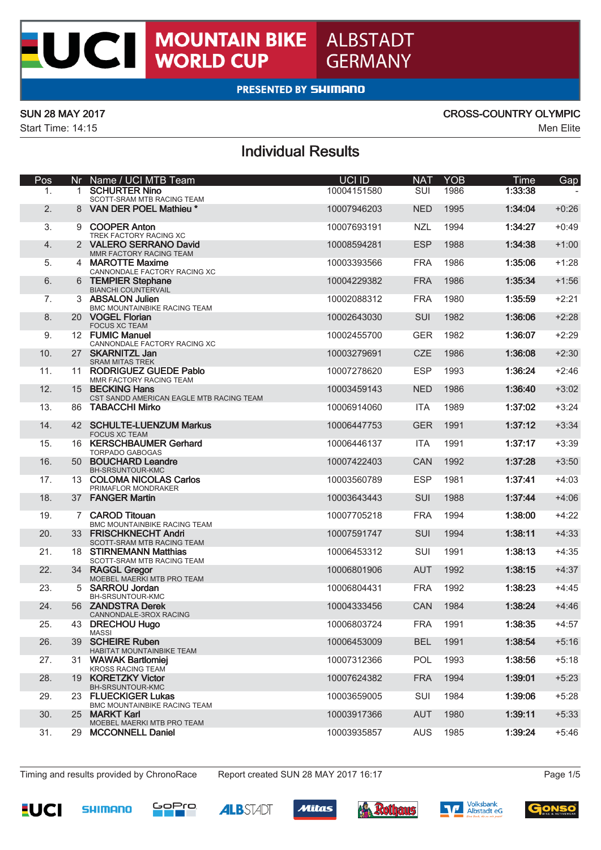## **PRESENTED BY SHIMANO**

UCI

Start Time: 14:15 Men Elite

### SUN 28 MAY 2017 CROSS-COUNTRY OLYMPIC

## Individual Results

| Pos |    | Nr Name / UCI MTB Team                                        | UCI ID      | <b>NAT</b> | <b>YOB</b> | Time    | Gap     |
|-----|----|---------------------------------------------------------------|-------------|------------|------------|---------|---------|
| 1.  |    | 1 SCHURTER Nino<br>SCOTT-SRAM MTB RACING TEAM                 | 10004151580 | SUI        | 1986       | 1:33:38 |         |
| 2.  |    | 8 VAN DER POEL Mathieu *                                      | 10007946203 | <b>NED</b> | 1995       | 1:34:04 | $+0:26$ |
| 3.  |    | 9 COOPER Anton<br>TREK FACTORY RACING XC                      | 10007693191 | <b>NZL</b> | 1994       | 1:34:27 | $+0:49$ |
| 4.  |    | 2 VALERO SERRANO David                                        | 10008594281 | <b>ESP</b> | 1988       | 1:34:38 | $+1:00$ |
| 5.  |    | MMR FACTORY RACING TEAM<br>4 MAROTTE Maxime                   | 10003393566 | <b>FRA</b> | 1986       | 1:35:06 | $+1:28$ |
| 6.  |    | CANNONDALE FACTORY RACING XC<br>6 TEMPIER Stephane            | 10004229382 | <b>FRA</b> | 1986       | 1:35:34 | $+1:56$ |
| 7.  |    | <b>BIANCHI COUNTERVAIL</b><br>3 ABSALON Julien                | 10002088312 | <b>FRA</b> | 1980       | 1:35:59 | $+2:21$ |
| 8.  |    | BMC MOUNTAINBIKE RACING TEAM<br>20 VOGEL Florian              | 10002643030 | SUI        | 1982       | 1:36:06 | $+2:28$ |
| 9.  |    | <b>FOCUS XC TEAM</b><br>12 FUMIC Manuel                       | 10002455700 | <b>GER</b> | 1982       | 1:36:07 | $+2:29$ |
| 10. |    | CANNONDALE FACTORY RACING XC<br>27 SKARNITZL Jan              | 10003279691 | <b>CZE</b> | 1986       | 1:36:08 | $+2:30$ |
| 11. |    | <b>SRAM MITAS TREK</b><br>11 RODRIGUEZ GUEDE Pablo            | 10007278620 | <b>ESP</b> | 1993       | 1:36:24 | $+2:46$ |
| 12. |    | MMR FACTORY RACING TEAM<br>15 BECKING Hans                    | 10003459143 | <b>NED</b> | 1986       | 1:36:40 | $+3:02$ |
| 13. |    | CST SANDD AMERICAN EAGLE MTB RACING TEAM<br>86 TABACCHI Mirko | 10006914060 | <b>ITA</b> | 1989       | 1:37:02 | $+3:24$ |
| 14. |    | 42 SCHULTE-LUENZUM Markus                                     | 10006447753 | <b>GER</b> | 1991       | 1:37:12 | $+3:34$ |
| 15. |    | <b>FOCUS XC TEAM</b><br>16 KERSCHBAUMER Gerhard               | 10006446137 | <b>ITA</b> | 1991       | 1:37:17 | $+3:39$ |
| 16. |    | <b>TORPADO GABOGAS</b><br>50 BOUCHARD Leandre                 | 10007422403 | <b>CAN</b> | 1992       | 1:37:28 | $+3:50$ |
|     |    | BH-SRSUNTOUR-KMC                                              |             |            |            |         |         |
| 17. |    | 13 COLOMA NICOLAS Carlos<br>PRIMAFLOR MONDRAKER               | 10003560789 | <b>ESP</b> | 1981       | 1:37:41 | $+4:03$ |
| 18. |    | 37 FANGER Martin                                              | 10003643443 | <b>SUI</b> | 1988       | 1:37:44 | $+4:06$ |
| 19. |    | 7 CAROD Titouan<br><b>BMC MOUNTAINBIKE RACING TEAM</b>        | 10007705218 | <b>FRA</b> | 1994       | 1:38:00 | $+4:22$ |
| 20. |    | 33 FRISCHKNECHT Andri<br>SCOTT-SRAM MTB RACING TEAM           | 10007591747 | SUI        | 1994       | 1:38:11 | $+4:33$ |
| 21. |    | 18 STIRNEMANN Matthias<br>SCOTT-SRAM MTB RACING TEAM          | 10006453312 | SUI        | 1991       | 1:38:13 | $+4:35$ |
| 22. |    | 34 RAGGL Gregor<br>MOEBEL MAERKI MTB PRO TEAM                 | 10006801906 | <b>AUT</b> | 1992       | 1:38:15 | $+4:37$ |
| 23. |    | 5 SARROU Jordan<br>BH-SRSUNTOUR-KMC                           | 10006804431 | <b>FRA</b> | 1992       | 1:38:23 | $+4:45$ |
| 24. |    | 56 ZANDSTRA Derek<br>CANNONDALE-3ROX RACING                   | 10004333456 | CAN        | 1984       | 1:38:24 | $+4:46$ |
| 25. | 43 | <b>DRECHOU Hugo</b><br>MASSI                                  | 10006803724 | <b>FRA</b> | 1991       | 1:38:35 | $+4:57$ |
| 26. | 39 | <b>SCHEIRE Ruben</b><br>HABITAT MOUNTAINBIKE TEAM             | 10006453009 | <b>BEL</b> | 1991       | 1:38:54 | $+5:16$ |
| 27. | 31 | <b>WAWAK Bartlomiei</b><br><b>KROSS RACING TEAM</b>           | 10007312366 | POL        | 1993       | 1:38:56 | $+5:18$ |
| 28. | 19 | <b>KORETZKY Victor</b>                                        | 10007624382 | <b>FRA</b> | 1994       | 1:39:01 | $+5:23$ |
| 29. | 23 | BH-SRSUNTOUR-KMC<br><b>FLUECKIGER Lukas</b>                   | 10003659005 | SUI        | 1984       | 1:39:06 | $+5:28$ |
| 30. |    | <b>BMC MOUNTAINBIKE RACING TEAM</b><br>25 MARKT Karl          | 10003917366 | <b>AUT</b> | 1980       | 1:39:11 | $+5:33$ |
| 31. | 29 | MOEBEL MAERKI MTB PRO TEAM<br><b>MCCONNELL Daniel</b>         | 10003935857 | <b>AUS</b> | 1985       | 1:39:24 | $+5:46$ |

Timing and results provided by ChronoRace Report created SUN 28 MAY 2017 16:17 **Page 1/5** Page 1/5













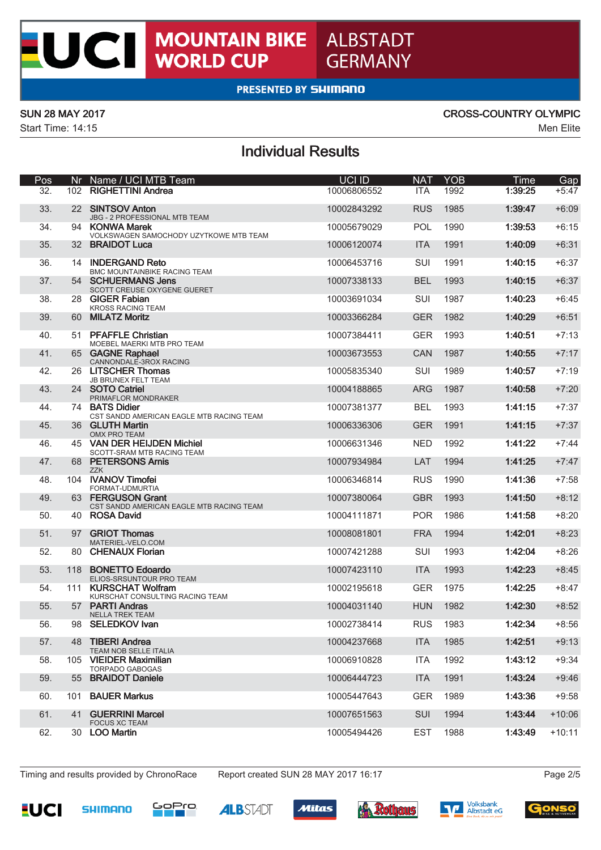

## PRESENTED BY SHIMANO

**WORLD CUP** 

UCI

Start Time: 14:15 Men Elite

ı

### SUN 28 MAY 2017 CROSS-COUNTRY OLYMPIC

## Individual Results

| Pos |     | Nr Name / UCI MTB Team                                        | <b>UCI ID</b> | <b>NAT</b> | <b>YOB</b> | Time    | Gap      |
|-----|-----|---------------------------------------------------------------|---------------|------------|------------|---------|----------|
| 32. |     | 102 RIGHETTINI Andrea                                         | 10006806552   | <b>ITA</b> | 1992       | 1:39:25 | $+5:47$  |
| 33. |     | 22 SINTSOV Anton<br>JBG - 2 PROFESSIONAL MTB TEAM             | 10002843292   | <b>RUS</b> | 1985       | 1:39:47 | $+6:09$  |
| 34. |     | 94 KONWA Marek<br>VOLKSWAGEN SAMOCHODY UZYTKOWE MTB TEAM      | 10005679029   | <b>POL</b> | 1990       | 1:39:53 | $+6:15$  |
| 35. |     | 32 BRAIDOT Luca                                               | 10006120074   | <b>ITA</b> | 1991       | 1:40:09 | $+6:31$  |
| 36. | 14  | <b>INDERGAND Reto</b><br><b>BMC MOUNTAINBIKE RACING TEAM</b>  | 10006453716   | <b>SUI</b> | 1991       | 1:40:15 | $+6:37$  |
| 37. |     | 54 SCHUERMANS Jens<br>SCOTT CREUSE OXYGENE GUERET             | 10007338133   | <b>BEL</b> | 1993       | 1:40:15 | $+6:37$  |
| 38. |     | 28 GIGER Fabian<br><b>KROSS RACING TEAM</b>                   | 10003691034   | SUI        | 1987       | 1:40:23 | $+6:45$  |
| 39. |     | 60 MILATZ Moritz                                              | 10003366284   | <b>GER</b> | 1982       | 1:40:29 | $+6:51$  |
| 40. | 51  | <b>PFAFFLE Christian</b><br>MOEBEL MAERKI MTB PRO TEAM        | 10007384411   | <b>GER</b> | 1993       | 1:40:51 | $+7:13$  |
| 41. |     | 65 GAGNE Raphael<br>CANNONDALE-3ROX RACING                    | 10003673553   | <b>CAN</b> | 1987       | 1:40:55 | $+7:17$  |
| 42. |     | 26 LITSCHER Thomas<br>JB BRUNEX FELT TEAM                     | 10005835340   | SUI        | 1989       | 1:40:57 | $+7:19$  |
| 43. |     | 24 SOTO Catriel<br>PRIMAFLOR MONDRAKER                        | 10004188865   | <b>ARG</b> | 1987       | 1:40:58 | $+7:20$  |
| 44. |     | 74 BATS Didier<br>CST SANDD AMERICAN EAGLE MTB RACING TEAM    | 10007381377   | <b>BEL</b> | 1993       | 1:41:15 | $+7:37$  |
| 45. |     | 36 GLUTH Martin<br>OMX PRO TEAM                               | 10006336306   | <b>GER</b> | 1991       | 1:41:15 | $+7:37$  |
| 46. |     | 45 VAN DER HEIJDEN Michiel<br>SCOTT-SRAM MTB RACING TEAM      | 10006631346   | <b>NED</b> | 1992       | 1:41:22 | $+7:44$  |
| 47. |     | 68 PETERSONS Arnis<br><b>ZZK</b>                              | 10007934984   | LAT        | 1994       | 1:41:25 | $+7:47$  |
| 48. |     | 104 IVANOV Timofei<br>FORMAT-UDMURTIA                         | 10006346814   | <b>RUS</b> | 1990       | 1:41:36 | $+7:58$  |
| 49. |     | 63 FERGUSON Grant<br>CST SANDD AMERICAN EAGLE MTB RACING TEAM | 10007380064   | <b>GBR</b> | 1993       | 1:41:50 | $+8:12$  |
| 50. |     | 40 ROSA David                                                 | 10004111871   | <b>POR</b> | 1986       | 1:41:58 | $+8:20$  |
| 51. | 97  | <b>GRIOT Thomas</b><br>MATERIEL-VELO.COM                      | 10008081801   | <b>FRA</b> | 1994       | 1:42:01 | $+8:23$  |
| 52. |     | 80 CHENAUX Florian                                            | 10007421288   | <b>SUI</b> | 1993       | 1:42:04 | $+8:26$  |
| 53. | 118 | <b>BONETTO Edoardo</b><br>ELIOS-SRSUNTOUR PRO TEAM            | 10007423110   | <b>ITA</b> | 1993       | 1:42:23 | $+8:45$  |
| 54. |     | 111 KURSCHAT Wolfram<br>KURSCHAT CONSULTING RACING TEAM       | 10002195618   | <b>GER</b> | 1975       | 1:42:25 | $+8:47$  |
| 55. |     | 57 PARTI Andras<br><b>NELLA TREK TEAM</b>                     | 10004031140   | <b>HUN</b> | 1982       | 1:42:30 | $+8:52$  |
| 56. |     | 98 SELEDKOV Ivan                                              | 10002738414   | <b>RUS</b> | 1983       | 1:42:34 | $+8:56$  |
| 57. | 48  | <b>TIBERI Andrea</b><br>TEAM NOB SELLE ITALIA                 | 10004237668   | <b>ITA</b> | 1985       | 1:42:51 | $+9:13$  |
| 58. |     | 105 VIEIDER Maximilian<br><b>TORPADO GABOGAS</b>              | 10006910828   | ITA        | 1992       | 1:43:12 | $+9:34$  |
| 59. |     | 55 BRAIDOT Daniele                                            | 10006444723   | <b>ITA</b> | 1991       | 1:43:24 | $+9:46$  |
| 60. |     | 101 BAUER Markus                                              | 10005447643   | <b>GER</b> | 1989       | 1:43:36 | $+9:58$  |
| 61. | 41  | <b>GUERRINI Marcel</b><br><b>FOCUS XC TEAM</b>                | 10007651563   | <b>SUI</b> | 1994       | 1:43:44 | $+10:06$ |
| 62. |     | 30 LOO Martin                                                 | 10005494426   | <b>EST</b> | 1988       | 1:43:49 | $+10:11$ |

Timing and results provided by ChronoRace Report created SUN 28 MAY 2017 16:17 **Page 2/5** Page 2/5













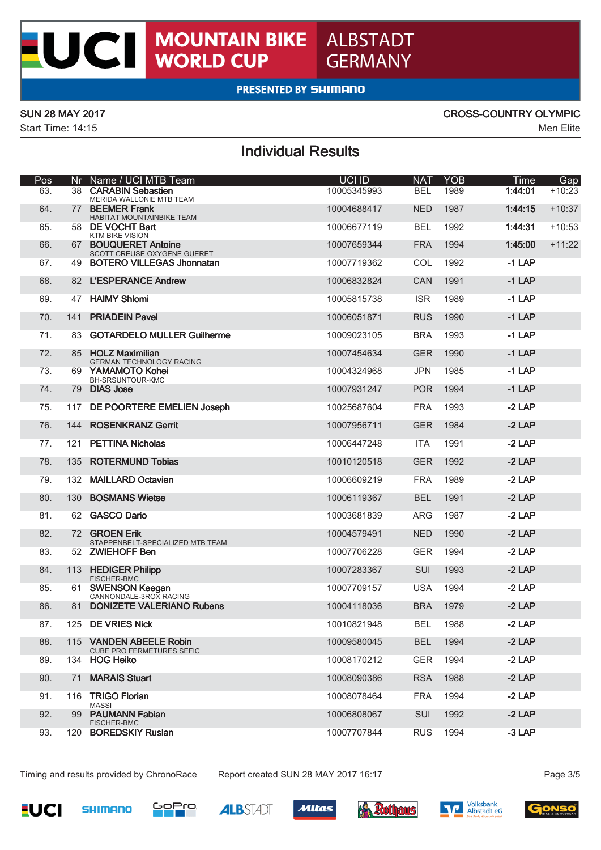## **MOUNTAIN BIKE<br>WORLD CUP** ALBSTADT **GERMANY**

## **PRESENTED BY SHIMANO**

UCI

Start Time: 14:15 Men Elite

### SUN 28 MAY 2017 CROSS-COUNTRY OLYMPIC

# Individual Results

| Pos |     | Nr Name / UCI MTB T <u>eam</u>                              | UCI ID      | <b>NAT</b> | <b>YOB</b> | Time     | Gap      |
|-----|-----|-------------------------------------------------------------|-------------|------------|------------|----------|----------|
| 63. |     | 38 CARABIN Sebastien<br>MERIDA WALLONIE MTB TEAM            | 10005345993 | <b>BEL</b> | 1989       | 1:44:01  | $+10:23$ |
| 64. |     | 77 BEEMER Frank<br>HABITAT MOUNTAINBIKE TEAM                | 10004688417 | <b>NED</b> | 1987       | 1:44:15  | $+10:37$ |
| 65. |     | 58 DE VOCHT Bart<br><b>KTM BIKE VISION</b>                  | 10006677119 | <b>BEL</b> | 1992       | 1:44:31  | $+10:53$ |
| 66. |     | 67 BOUQUERET Antoine<br>SCOTT CREUSE OXYGENE GUERET         | 10007659344 | <b>FRA</b> | 1994       | 1:45:00  | $+11:22$ |
| 67. |     | 49 BOTERO VILLEGAS Jhonnatan                                | 10007719362 | <b>COL</b> | 1992       | $-1$ LAP |          |
| 68. |     | 82 L'ESPERANCE Andrew                                       | 10006832824 | CAN        | 1991       | $-1$ LAP |          |
| 69. | 47  | <b>HAIMY Shlomi</b>                                         | 10005815738 | <b>ISR</b> | 1989       | $-1$ LAP |          |
| 70. | 141 | <b>PRIADEIN Pavel</b>                                       | 10006051871 | <b>RUS</b> | 1990       | $-1$ LAP |          |
| 71. |     | 83 GOTARDELO MULLER Guilherme                               | 10009023105 | <b>BRA</b> | 1993       | $-1$ LAP |          |
| 72. |     | 85 HOLZ Maximilian<br><b>GERMAN TECHNOLOGY RACING</b>       | 10007454634 | <b>GER</b> | 1990       | $-1$ LAP |          |
| 73. |     | 69 YAMAMOTO Kohei<br><b>BH-SRSUNTOUR-KMC</b>                | 10004324968 | <b>JPN</b> | 1985       | $-1$ LAP |          |
| 74. |     | 79 DIAS Jose                                                | 10007931247 | <b>POR</b> | 1994       | $-1$ LAP |          |
| 75. |     | 117 DE POORTERE EMELIEN Joseph                              | 10025687604 | <b>FRA</b> | 1993       | $-2$ LAP |          |
| 76. | 144 | <b>ROSENKRANZ Gerrit</b>                                    | 10007956711 | <b>GER</b> | 1984       | $-2$ LAP |          |
| 77. |     | 121 PETTINA Nicholas                                        | 10006447248 | <b>ITA</b> | 1991       | $-2$ LAP |          |
| 78. | 135 | <b>ROTERMUND Tobias</b>                                     | 10010120518 | <b>GER</b> | 1992       | $-2$ LAP |          |
| 79. |     | 132 MAILLARD Octavien                                       | 10006609219 | <b>FRA</b> | 1989       | $-2$ LAP |          |
| 80. | 130 | <b>BOSMANS Wietse</b>                                       | 10006119367 | <b>BEL</b> | 1991       | $-2$ LAP |          |
| 81. |     | 62 GASCO Dario                                              | 10003681839 | <b>ARG</b> | 1987       | $-2$ LAP |          |
| 82. |     | 72 GROEN Erik<br>STAPPENBELT-SPECIALIZED MTB TEAM           | 10004579491 | <b>NED</b> | 1990       | $-2$ LAP |          |
| 83. |     | 52 ZWIEHOFF Ben                                             | 10007706228 | <b>GER</b> | 1994       | $-2$ LAP |          |
| 84. |     | 113 HEDIGER Philipp<br><b>FISCHER-BMC</b>                   | 10007283367 | <b>SUI</b> | 1993       | $-2$ LAP |          |
| 85. |     | 61 SWENSON Keegan<br>CANNONDALE-3ROX RACING                 | 10007709157 | <b>USA</b> | 1994       | $-2$ LAP |          |
| 86. |     | 81 DONIZETE VALERIANO Rubens                                | 10004118036 | <b>BRA</b> | 1979       | $-2$ LAP |          |
| 87. |     | 125 DE VRIES Nick                                           | 10010821948 | <b>BEL</b> | 1988       | $-2$ LAP |          |
| 88. |     | 115 VANDEN ABEELE Robin<br><b>CUBE PRO FERMETURES SEFIC</b> | 10009580045 | BEL        | 1994       | $-2$ LAP |          |
| 89. |     | 134 HOG Heiko                                               | 10008170212 | <b>GER</b> | 1994       | $-2$ LAP |          |
| 90. | 71  | <b>MARAIS Stuart</b>                                        | 10008090386 | <b>RSA</b> | 1988       | $-2$ LAP |          |
| 91. |     | 116 TRIGO Florian<br>MASSI                                  | 10008078464 | <b>FRA</b> | 1994       | $-2$ LAP |          |
| 92. |     | 99 PAUMANN Fabian<br><b>FISCHER-BMC</b>                     | 10006808067 | SUI        | 1992       | $-2$ LAP |          |
| 93. |     | 120 BOREDSKIY Ruslan                                        | 10007707844 | <b>RUS</b> | 1994       | $-3$ LAP |          |

Timing and results provided by ChronoRace Report created SUN 28 MAY 2017 16:17 **Page 3/5** Page 3/5













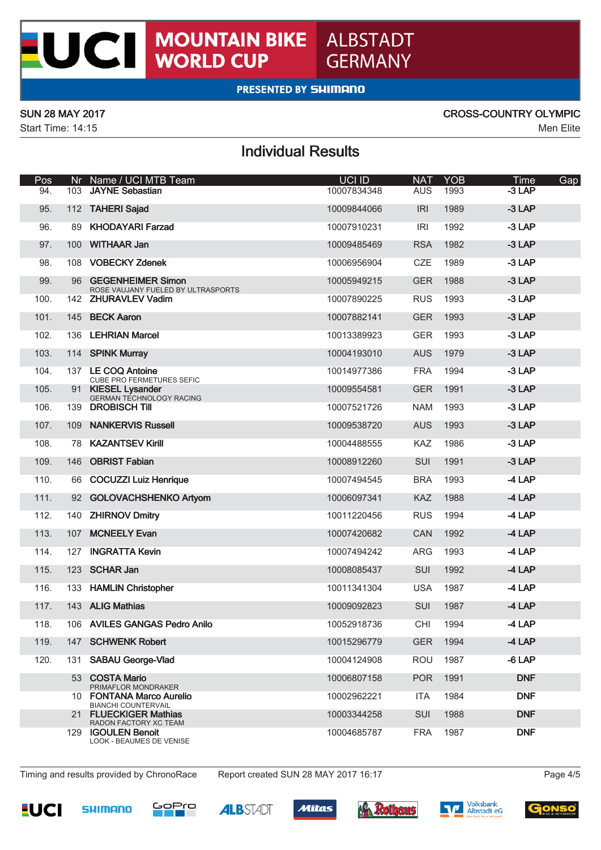

## **PRESENTED BY SHIMANO**

UCI

Start Time: 14:15 Men Elite

### SUN 28 MAY 2017 CROSS-COUNTRY OLYMPIC

# Individual Results

| Pos  | Nr  | Name / UCI MTB Team                                        | <b>UCI ID</b> | <b>NAT</b> | <b>YOB</b> | Time<br>Gap |
|------|-----|------------------------------------------------------------|---------------|------------|------------|-------------|
| 94.  | 103 | <b>JAYNE Sebastian</b>                                     | 10007834348   | <b>AUS</b> | 1993       | $-3$ LAP    |
| 95.  |     | 112 TAHERI Sajad                                           | 10009844066   | <b>IRI</b> | 1989       | $-3$ LAP    |
| 96.  | 89  | <b>KHODAYARI Farzad</b>                                    | 10007910231   | <b>IRI</b> | 1992       | $-3$ LAP    |
| 97.  |     | 100 WITHAAR Jan                                            | 10009485469   | <b>RSA</b> | 1982       | $-3$ LAP    |
| 98.  |     | 108 VOBECKY Zdenek                                         | 10006956904   | <b>CZE</b> | 1989       | $-3$ LAP    |
| 99.  |     | 96 GEGENHEIMER Simon<br>ROSE VAUJANY FUELED BY ULTRASPORTS | 10005949215   | <b>GER</b> | 1988       | $-3$ LAP    |
| 100. |     | 142 ZHURAVLEV Vadim                                        | 10007890225   | <b>RUS</b> | 1993       | $-3$ LAP    |
| 101. |     | 145 BECK Aaron                                             | 10007882141   | <b>GER</b> | 1993       | $-3$ LAP    |
| 102. | 136 | <b>LEHRIAN Marcel</b>                                      | 10013389923   | <b>GER</b> | 1993       | $-3$ LAP    |
| 103. |     | 114 SPINK Murray                                           | 10004193010   | <b>AUS</b> | 1979       | $-3$ LAP    |
| 104. |     | 137 LE COQ Antoine<br><b>CUBE PRO FERMETURES SEFIC</b>     | 10014977386   | <b>FRA</b> | 1994       | $-3$ LAP    |
| 105. |     | 91 KIESEL Lysander<br><b>GERMAN TECHNOLOGY RACING</b>      | 10009554581   | <b>GER</b> | 1991       | $-3$ LAP    |
| 106. |     | 139 DROBISCH Till                                          | 10007521726   | <b>NAM</b> | 1993       | $-3$ LAP    |
| 107. | 109 | <b>NANKERVIS Russell</b>                                   | 10009538720   | <b>AUS</b> | 1993       | $-3$ LAP    |
| 108. | 78  | <b>KAZANTSEV Kirill</b>                                    | 10004488555   | KAZ        | 1986       | $-3$ LAP    |
| 109. | 146 | <b>OBRIST Fabian</b>                                       | 10008912260   | SUI        | 1991       | $-3$ LAP    |
| 110. | 66  | <b>COCUZZI Luiz Henrique</b>                               | 10007494545   | <b>BRA</b> | 1993       | $-4$ LAP    |
| 111. | 92  | <b>GOLOVACHSHENKO Artyom</b>                               | 10006097341   | <b>KAZ</b> | 1988       | $-4$ LAP    |
| 112. | 140 | <b>ZHIRNOV Dmitry</b>                                      | 10011220456   | <b>RUS</b> | 1994       | $-4$ LAP    |
| 113. | 107 | <b>MCNEELY Evan</b>                                        | 10007420682   | <b>CAN</b> | 1992       | $-4$ LAP    |
| 114. | 127 | <b>INGRATTA Kevin</b>                                      | 10007494242   | <b>ARG</b> | 1993       | $-4$ LAP    |
| 115. | 123 | <b>SCHAR Jan</b>                                           | 10008085437   | SUI        | 1992       | $-4$ LAP    |
| 116. |     | 133 HAMLIN Christopher                                     | 10011341304   | <b>USA</b> | 1987       | -4 LAP      |
| 117. |     | 143 ALIG Mathias                                           | 10009092823   | SUI        | 1987       | $-4$ LAP    |
| 118. |     | 106 AVILES GANGAS Pedro Anilo                              | 10052918736   | CHI        | 1994       | $-4$ LAP    |
| 119. |     | 147 SCHWENK Robert                                         | 10015296779   | <b>GER</b> | 1994       | $-4$ LAP    |
| 120. |     | 131 SABAU George-Vlad                                      | 10004124908   | ROU        | 1987       | $-6$ LAP    |
|      |     | 53 COSTA Mario<br>PRIMAFLOR MONDRAKER                      | 10006807158   | <b>POR</b> | 1991       | <b>DNF</b>  |
|      |     | 10 FONTANA Marco Aurelio<br><b>BIANCHI COUNTERVAIL</b>     | 10002962221   | <b>ITA</b> | 1984       | <b>DNF</b>  |
|      |     | 21 FLUECKIGER Mathias<br>RADON FACTORY XC TEAM             | 10003344258   | <b>SUI</b> | 1988       | <b>DNF</b>  |
|      |     | 129 IGOULEN Benoit<br>LOOK - BEAUMES DE VENISE             | 10004685787   | <b>FRA</b> | 1987       | <b>DNF</b>  |

Timing and results provided by ChronoRace Report created SUN 28 MAY 2017 16:17 **Page 4/5** Page 4/5